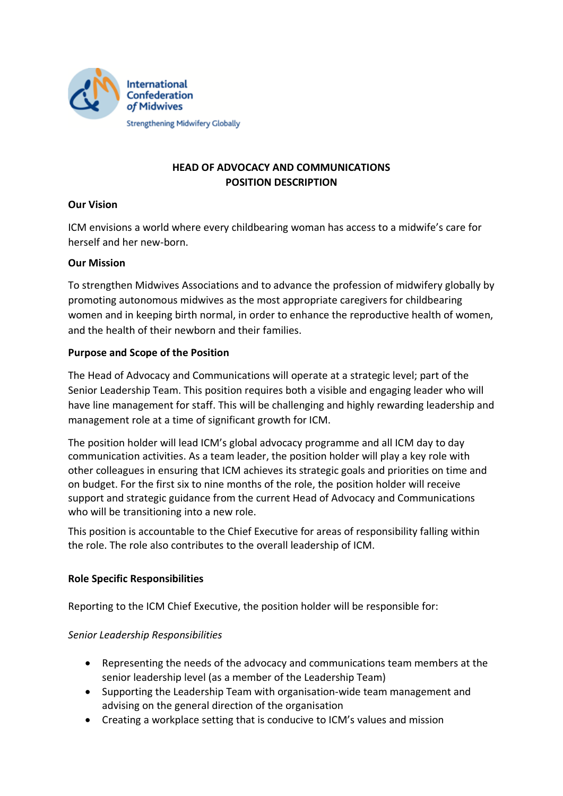

# **HEAD OF ADVOCACY AND COMMUNICATIONS POSITION DESCRIPTION**

## **Our Vision**

ICM envisions a world where every childbearing woman has access to a midwife's care for herself and her new-born.

### **Our Mission**

To strengthen Midwives Associations and to advance the profession of midwifery globally by promoting autonomous midwives as the most appropriate caregivers for childbearing women and in keeping birth normal, in order to enhance the reproductive health of women, and the health of their newborn and their families.

#### **Purpose and Scope of the Position**

The Head of Advocacy and Communications will operate at a strategic level; part of the Senior Leadership Team. This position requires both a visible and engaging leader who will have line management for staff. This will be challenging and highly rewarding leadership and management role at a time of significant growth for ICM.

The position holder will lead ICM's global advocacy programme and all ICM day to day communication activities. As a team leader, the position holder will play a key role with other colleagues in ensuring that ICM achieves its strategic goals and priorities on time and on budget. For the first six to nine months of the role, the position holder will receive support and strategic guidance from the current Head of Advocacy and Communications who will be transitioning into a new role.

This position is accountable to the Chief Executive for areas of responsibility falling within the role. The role also contributes to the overall leadership of ICM.

### **Role Specific Responsibilities**

Reporting to the ICM Chief Executive, the position holder will be responsible for:

### *Senior Leadership Responsibilities*

- Representing the needs of the advocacy and communications team members at the senior leadership level (as a member of the Leadership Team)
- Supporting the Leadership Team with organisation-wide team management and advising on the general direction of the organisation
- Creating a workplace setting that is conducive to ICM's values and mission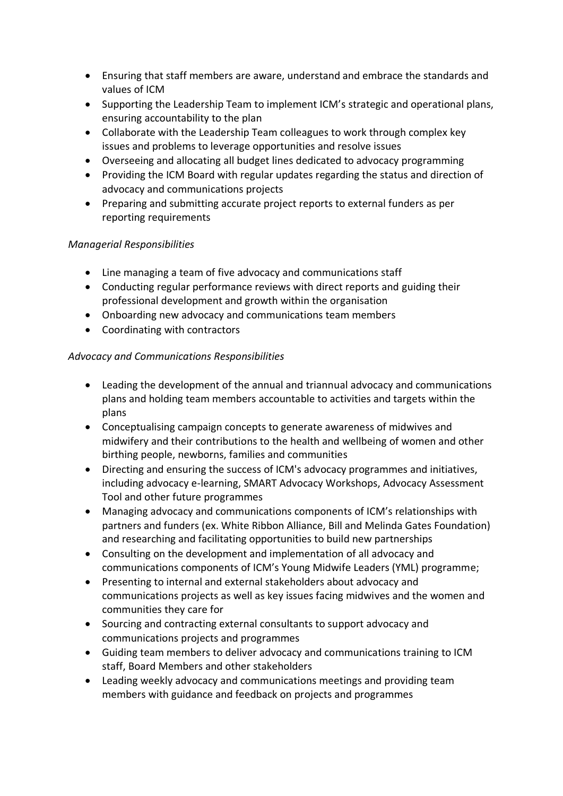- Ensuring that staff members are aware, understand and embrace the standards and values of ICM
- Supporting the Leadership Team to implement ICM's strategic and operational plans, ensuring accountability to the plan
- Collaborate with the Leadership Team colleagues to work through complex key issues and problems to leverage opportunities and resolve issues
- Overseeing and allocating all budget lines dedicated to advocacy programming
- Providing the ICM Board with regular updates regarding the status and direction of advocacy and communications projects
- Preparing and submitting accurate project reports to external funders as per reporting requirements

## *Managerial Responsibilities*

- Line managing a team of five advocacy and communications staff
- Conducting regular performance reviews with direct reports and guiding their professional development and growth within the organisation
- Onboarding new advocacy and communications team members
- Coordinating with contractors

## *Advocacy and Communications Responsibilities*

- Leading the development of the annual and triannual advocacy and communications plans and holding team members accountable to activities and targets within the plans
- Conceptualising campaign concepts to generate awareness of midwives and midwifery and their contributions to the health and wellbeing of women and other birthing people, newborns, families and communities
- Directing and ensuring the success of ICM's advocacy programmes and initiatives, including advocacy e-learning, SMART Advocacy Workshops, Advocacy Assessment Tool and other future programmes
- Managing advocacy and communications components of ICM's relationships with partners and funders (ex. White Ribbon Alliance, Bill and Melinda Gates Foundation) and researching and facilitating opportunities to build new partnerships
- Consulting on the development and implementation of all advocacy and communications components of ICM's Young Midwife Leaders (YML) programme;
- Presenting to internal and external stakeholders about advocacy and communications projects as well as key issues facing midwives and the women and communities they care for
- Sourcing and contracting external consultants to support advocacy and communications projects and programmes
- Guiding team members to deliver advocacy and communications training to ICM staff, Board Members and other stakeholders
- Leading weekly advocacy and communications meetings and providing team members with guidance and feedback on projects and programmes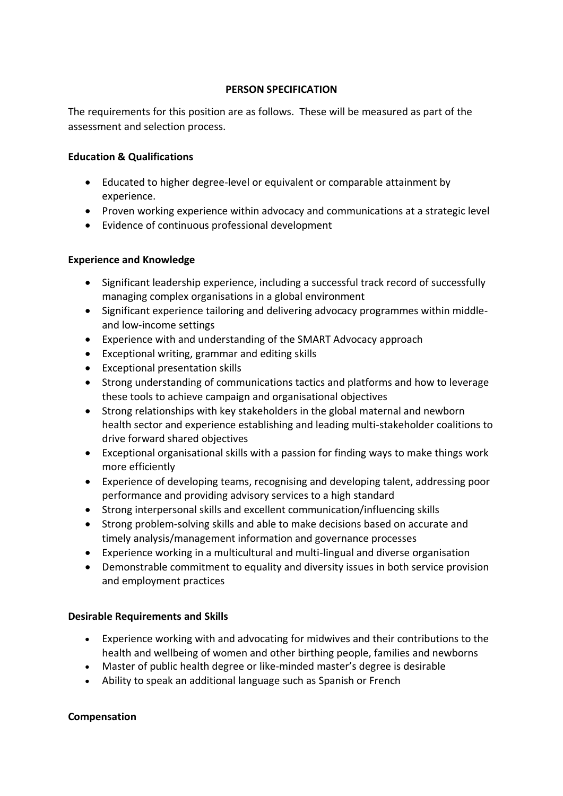#### **PERSON SPECIFICATION**

The requirements for this position are as follows. These will be measured as part of the assessment and selection process.

### **Education & Qualifications**

- Educated to higher degree-level or equivalent or comparable attainment by experience.
- Proven working experience within advocacy and communications at a strategic level
- Evidence of continuous professional development

#### **Experience and Knowledge**

- Significant leadership experience, including a successful track record of successfully managing complex organisations in a global environment
- Significant experience tailoring and delivering advocacy programmes within middleand low-income settings
- Experience with and understanding of the SMART Advocacy approach
- Exceptional writing, grammar and editing skills
- Exceptional presentation skills
- Strong understanding of communications tactics and platforms and how to leverage these tools to achieve campaign and organisational objectives
- Strong relationships with key stakeholders in the global maternal and newborn health sector and experience establishing and leading multi-stakeholder coalitions to drive forward shared objectives
- Exceptional organisational skills with a passion for finding ways to make things work more efficiently
- Experience of developing teams, recognising and developing talent, addressing poor performance and providing advisory services to a high standard
- Strong interpersonal skills and excellent communication/influencing skills
- Strong problem-solving skills and able to make decisions based on accurate and timely analysis/management information and governance processes
- Experience working in a multicultural and multi-lingual and diverse organisation
- Demonstrable commitment to equality and diversity issues in both service provision and employment practices

### **Desirable Requirements and Skills**

- Experience working with and advocating for midwives and their contributions to the health and wellbeing of women and other birthing people, families and newborns
- Master of public health degree or like-minded master's degree is desirable
- Ability to speak an additional language such as Spanish or French

#### **Compensation**